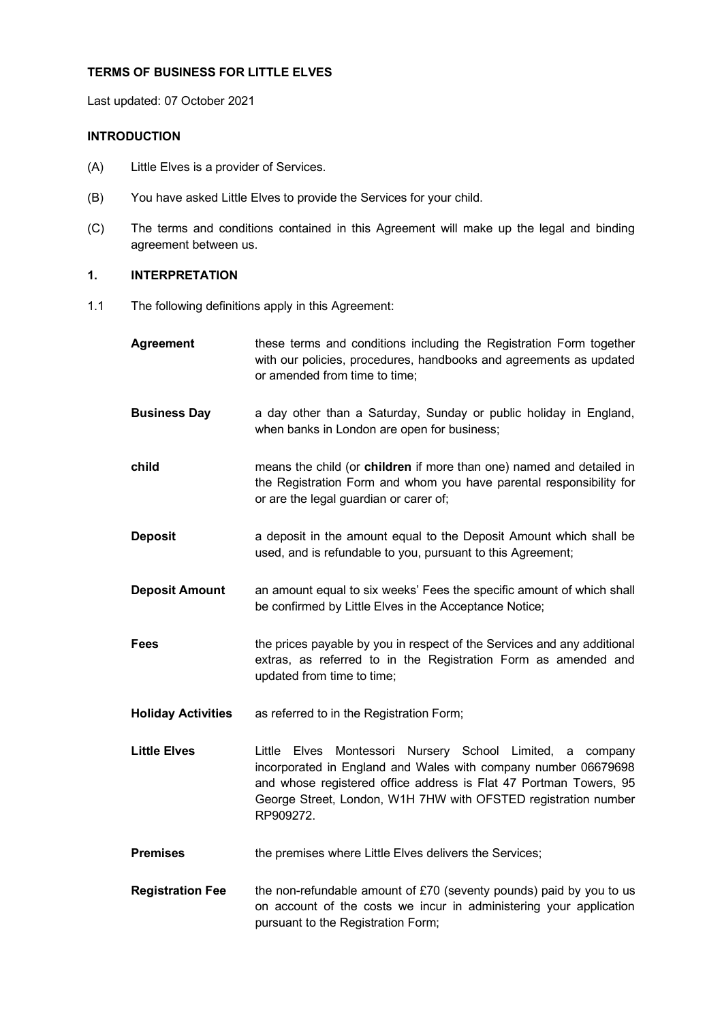### **TERMS OF BUSINESS FOR LITTLE ELVES**

Last updated: 07 October 2021

## **INTRODUCTION**

- (A) Little Elves is a provider of Services.
- (B) You have asked Little Elves to provide the Services for your child.
- (C) The terms and conditions contained in this Agreement will make up the legal and binding agreement between us.

# **1. INTERPRETATION**

1.1 The following definitions apply in this Agreement:

| <b>Agreement</b>          | these terms and conditions including the Registration Form together<br>with our policies, procedures, handbooks and agreements as updated<br>or amended from time to time;                                                                                                                         |
|---------------------------|----------------------------------------------------------------------------------------------------------------------------------------------------------------------------------------------------------------------------------------------------------------------------------------------------|
| <b>Business Day</b>       | a day other than a Saturday, Sunday or public holiday in England,<br>when banks in London are open for business;                                                                                                                                                                                   |
| child                     | means the child (or children if more than one) named and detailed in<br>the Registration Form and whom you have parental responsibility for<br>or are the legal guardian or carer of;                                                                                                              |
| <b>Deposit</b>            | a deposit in the amount equal to the Deposit Amount which shall be<br>used, and is refundable to you, pursuant to this Agreement;                                                                                                                                                                  |
| <b>Deposit Amount</b>     | an amount equal to six weeks' Fees the specific amount of which shall<br>be confirmed by Little Elves in the Acceptance Notice;                                                                                                                                                                    |
| Fees                      | the prices payable by you in respect of the Services and any additional<br>extras, as referred to in the Registration Form as amended and<br>updated from time to time;                                                                                                                            |
| <b>Holiday Activities</b> | as referred to in the Registration Form;                                                                                                                                                                                                                                                           |
| <b>Little Elves</b>       | Montessori Nursery School Limited,<br>Little<br><b>Elves</b><br>company<br>a<br>incorporated in England and Wales with company number 06679698<br>and whose registered office address is Flat 47 Portman Towers, 95<br>George Street, London, W1H 7HW with OFSTED registration number<br>RP909272. |
| <b>Premises</b>           | the premises where Little Elves delivers the Services;                                                                                                                                                                                                                                             |
| <b>Registration Fee</b>   | the non-refundable amount of £70 (seventy pounds) paid by you to us<br>on account of the costs we incur in administering your application<br>pursuant to the Registration Form;                                                                                                                    |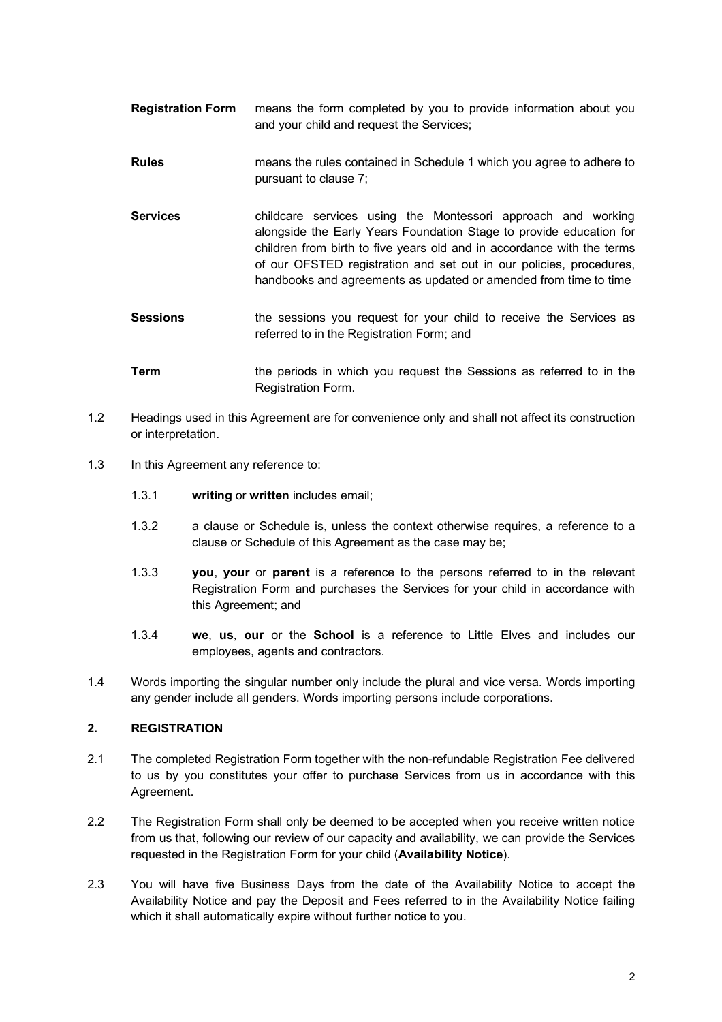- **Registration Form** means the form completed by you to provide information about you and your child and request the Services;
- **Rules** means the rules contained in Schedule 1 which you agree to adhere to pursuant to clause 7;
- **Services** childcare services using the Montessori approach and working alongside the Early Years Foundation Stage to provide education for children from birth to five years old and in accordance with the terms of our OFSTED registration and set out in our policies, procedures, handbooks and agreements as updated or amended from time to time
- **Sessions** the sessions you request for your child to receive the Services as referred to in the Registration Form; and
- **Term** the periods in which you request the Sessions as referred to in the Registration Form.
- 1.2 Headings used in this Agreement are for convenience only and shall not affect its construction or interpretation.
- 1.3 In this Agreement any reference to:
	- 1.3.1 **writing** or **written** includes email;
	- 1.3.2 a clause or Schedule is, unless the context otherwise requires, a reference to a clause or Schedule of this Agreement as the case may be;
	- 1.3.3 **you**, **your** or **parent** is a reference to the persons referred to in the relevant Registration Form and purchases the Services for your child in accordance with this Agreement; and
	- 1.3.4 **we**, **us**, **our** or the **School** is a reference to Little Elves and includes our employees, agents and contractors.
- 1.4 Words importing the singular number only include the plural and vice versa. Words importing any gender include all genders. Words importing persons include corporations.

# **2. REGISTRATION**

- 2.1 The completed Registration Form together with the non-refundable Registration Fee delivered to us by you constitutes your offer to purchase Services from us in accordance with this Agreement.
- 2.2 The Registration Form shall only be deemed to be accepted when you receive written notice from us that, following our review of our capacity and availability, we can provide the Services requested in the Registration Form for your child (**Availability Notice**).
- 2.3 You will have five Business Days from the date of the Availability Notice to accept the Availability Notice and pay the Deposit and Fees referred to in the Availability Notice failing which it shall automatically expire without further notice to you.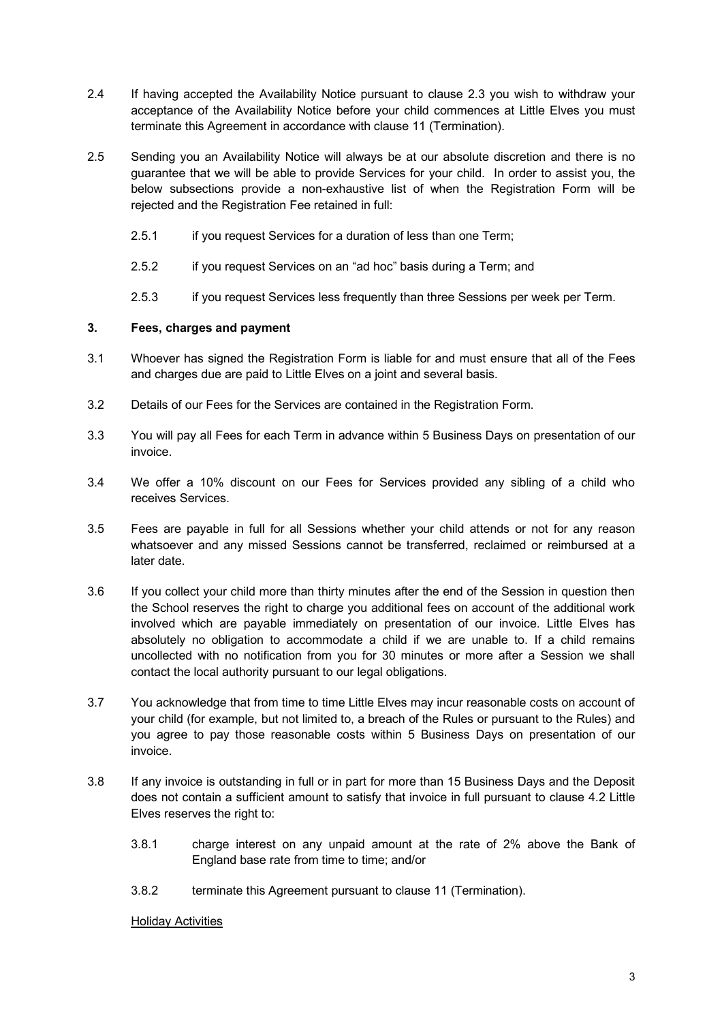- 2.4 If having accepted the Availability Notice pursuant to clause 2.3 you wish to withdraw your acceptance of the Availability Notice before your child commences at Little Elves you must terminate this Agreement in accordance with clause 11 (Termination).
- 2.5 Sending you an Availability Notice will always be at our absolute discretion and there is no guarantee that we will be able to provide Services for your child. In order to assist you, the below subsections provide a non-exhaustive list of when the Registration Form will be rejected and the Registration Fee retained in full:
	- 2.5.1 if you request Services for a duration of less than one Term;
	- 2.5.2 if you request Services on an "ad hoc" basis during a Term; and
	- 2.5.3 if you request Services less frequently than three Sessions per week per Term.

## **3. Fees, charges and payment**

- 3.1 Whoever has signed the Registration Form is liable for and must ensure that all of the Fees and charges due are paid to Little Elves on a joint and several basis.
- 3.2 Details of our Fees for the Services are contained in the Registration Form.
- 3.3 You will pay all Fees for each Term in advance within 5 Business Days on presentation of our invoice.
- 3.4 We offer a 10% discount on our Fees for Services provided any sibling of a child who receives Services.
- 3.5 Fees are payable in full for all Sessions whether your child attends or not for any reason whatsoever and any missed Sessions cannot be transferred, reclaimed or reimbursed at a later date.
- 3.6 If you collect your child more than thirty minutes after the end of the Session in question then the School reserves the right to charge you additional fees on account of the additional work involved which are payable immediately on presentation of our invoice. Little Elves has absolutely no obligation to accommodate a child if we are unable to. If a child remains uncollected with no notification from you for 30 minutes or more after a Session we shall contact the local authority pursuant to our legal obligations.
- 3.7 You acknowledge that from time to time Little Elves may incur reasonable costs on account of your child (for example, but not limited to, a breach of the Rules or pursuant to the Rules) and you agree to pay those reasonable costs within 5 Business Days on presentation of our invoice.
- 3.8 If any invoice is outstanding in full or in part for more than 15 Business Days and the Deposit does not contain a sufficient amount to satisfy that invoice in full pursuant to clause 4.2 Little Elves reserves the right to:
	- 3.8.1 charge interest on any unpaid amount at the rate of 2% above the Bank of England base rate from time to time; and/or
	- 3.8.2 terminate this Agreement pursuant to clause 11 (Termination).

### Holiday Activities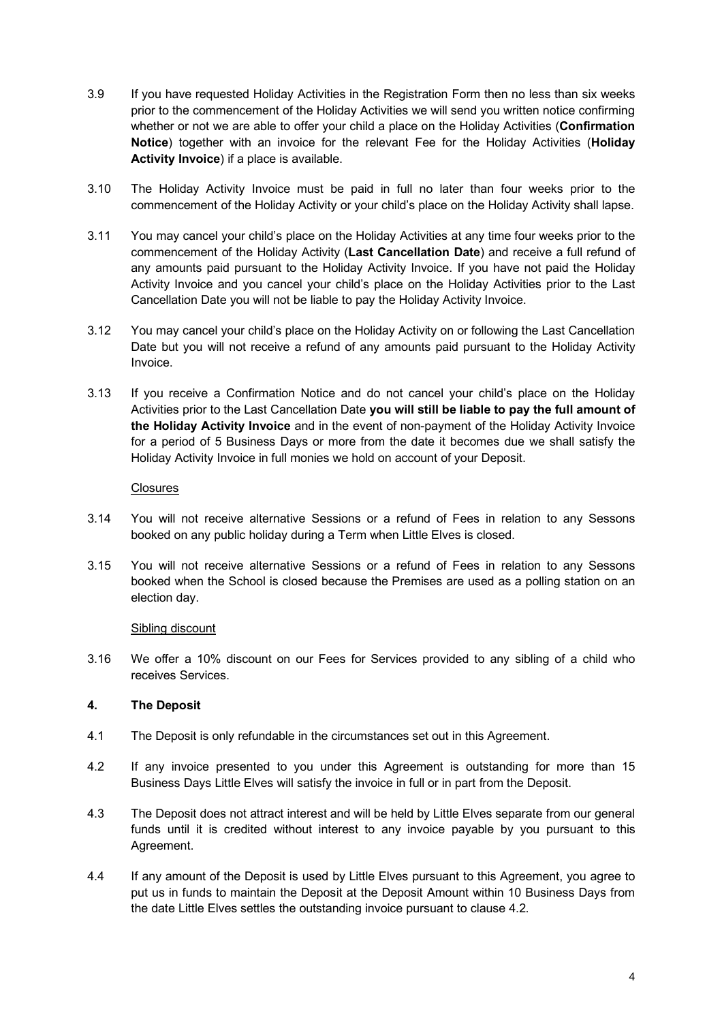- 3.9 If you have requested Holiday Activities in the Registration Form then no less than six weeks prior to the commencement of the Holiday Activities we will send you written notice confirming whether or not we are able to offer your child a place on the Holiday Activities (**Confirmation Notice**) together with an invoice for the relevant Fee for the Holiday Activities (**Holiday Activity Invoice**) if a place is available.
- 3.10 The Holiday Activity Invoice must be paid in full no later than four weeks prior to the commencement of the Holiday Activity or your child's place on the Holiday Activity shall lapse.
- 3.11 You may cancel your child's place on the Holiday Activities at any time four weeks prior to the commencement of the Holiday Activity (**Last Cancellation Date**) and receive a full refund of any amounts paid pursuant to the Holiday Activity Invoice. If you have not paid the Holiday Activity Invoice and you cancel your child's place on the Holiday Activities prior to the Last Cancellation Date you will not be liable to pay the Holiday Activity Invoice.
- 3.12 You may cancel your child's place on the Holiday Activity on or following the Last Cancellation Date but you will not receive a refund of any amounts paid pursuant to the Holiday Activity Invoice.
- 3.13 If you receive a Confirmation Notice and do not cancel your child's place on the Holiday Activities prior to the Last Cancellation Date **you will still be liable to pay the full amount of the Holiday Activity Invoice** and in the event of non-payment of the Holiday Activity Invoice for a period of 5 Business Days or more from the date it becomes due we shall satisfy the Holiday Activity Invoice in full monies we hold on account of your Deposit.

### **Closures**

- 3.14 You will not receive alternative Sessions or a refund of Fees in relation to any Sessons booked on any public holiday during a Term when Little Elves is closed.
- 3.15 You will not receive alternative Sessions or a refund of Fees in relation to any Sessons booked when the School is closed because the Premises are used as a polling station on an election day.

# Sibling discount

3.16 We offer a 10% discount on our Fees for Services provided to any sibling of a child who receives Services.

# **4. The Deposit**

- 4.1 The Deposit is only refundable in the circumstances set out in this Agreement.
- 4.2 If any invoice presented to you under this Agreement is outstanding for more than 15 Business Days Little Elves will satisfy the invoice in full or in part from the Deposit.
- 4.3 The Deposit does not attract interest and will be held by Little Elves separate from our general funds until it is credited without interest to any invoice payable by you pursuant to this Agreement.
- 4.4 If any amount of the Deposit is used by Little Elves pursuant to this Agreement, you agree to put us in funds to maintain the Deposit at the Deposit Amount within 10 Business Days from the date Little Elves settles the outstanding invoice pursuant to clause 4.2.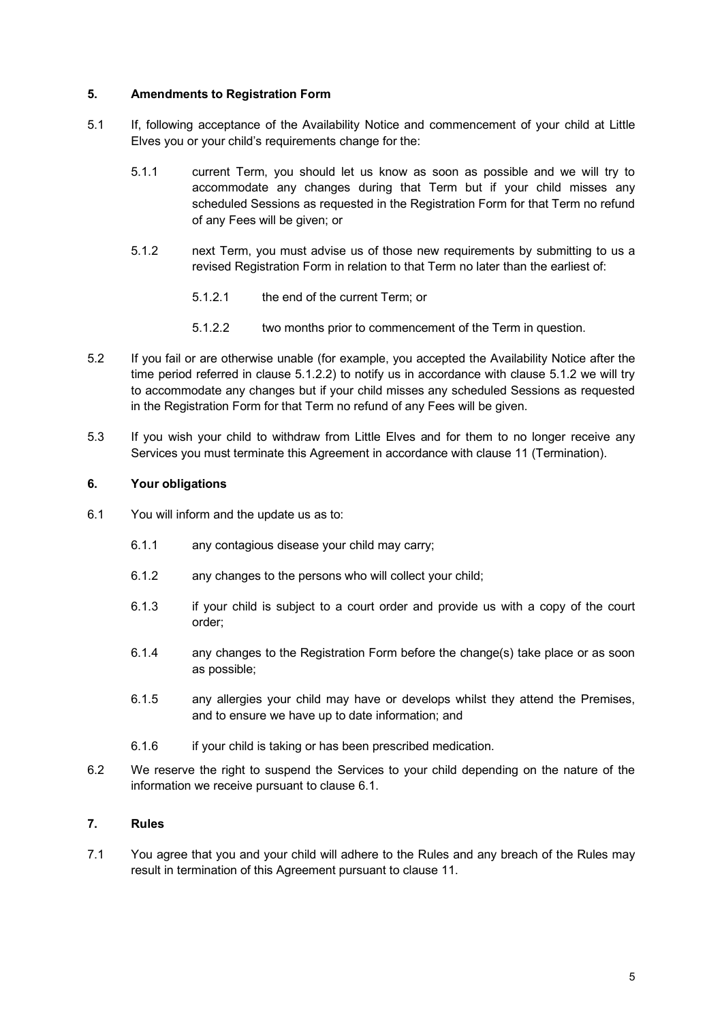## **5. Amendments to Registration Form**

- 5.1 If, following acceptance of the Availability Notice and commencement of your child at Little Elves you or your child's requirements change for the:
	- 5.1.1 current Term, you should let us know as soon as possible and we will try to accommodate any changes during that Term but if your child misses any scheduled Sessions as requested in the Registration Form for that Term no refund of any Fees will be given; or
	- 5.1.2 next Term, you must advise us of those new requirements by submitting to us a revised Registration Form in relation to that Term no later than the earliest of:
		- 5.1.2.1 the end of the current Term; or
		- 5.1.2.2 two months prior to commencement of the Term in question.
- 5.2 If you fail or are otherwise unable (for example, you accepted the Availability Notice after the time period referred in clause 5.1.2.2) to notify us in accordance with clause 5.1.2 we will try to accommodate any changes but if your child misses any scheduled Sessions as requested in the Registration Form for that Term no refund of any Fees will be given.
- 5.3 If you wish your child to withdraw from Little Elves and for them to no longer receive any Services you must terminate this Agreement in accordance with clause 11 (Termination).

## **6. Your obligations**

- 6.1 You will inform and the update us as to:
	- 6.1.1 any contagious disease your child may carry;
	- 6.1.2 any changes to the persons who will collect your child;
	- 6.1.3 if your child is subject to a court order and provide us with a copy of the court order;
	- 6.1.4 any changes to the Registration Form before the change(s) take place or as soon as possible;
	- 6.1.5 any allergies your child may have or develops whilst they attend the Premises, and to ensure we have up to date information; and
	- 6.1.6 if your child is taking or has been prescribed medication.
- 6.2 We reserve the right to suspend the Services to your child depending on the nature of the information we receive pursuant to clause 6.1.

# **7. Rules**

7.1 You agree that you and your child will adhere to the Rules and any breach of the Rules may result in termination of this Agreement pursuant to clause 11.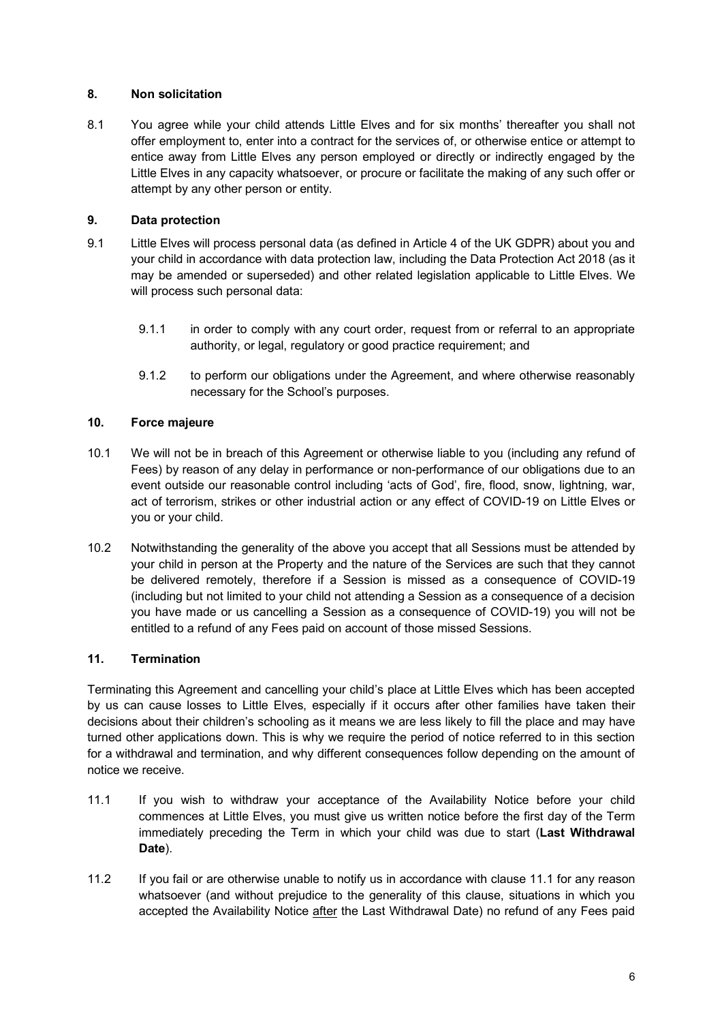## **8. Non solicitation**

8.1 You agree while your child attends Little Elves and for six months' thereafter you shall not offer employment to, enter into a contract for the services of, or otherwise entice or attempt to entice away from Little Elves any person employed or directly or indirectly engaged by the Little Elves in any capacity whatsoever, or procure or facilitate the making of any such offer or attempt by any other person or entity.

## **9. Data protection**

- 9.1 Little Elves will process personal data (as defined in Article 4 of the UK GDPR) about you and your child in accordance with data protection law, including the Data Protection Act 2018 (as it may be amended or superseded) and other related legislation applicable to Little Elves. We will process such personal data:
	- 9.1.1 in order to comply with any court order, request from or referral to an appropriate authority, or legal, regulatory or good practice requirement; and
	- 9.1.2 to perform our obligations under the Agreement, and where otherwise reasonably necessary for the School's purposes.

## **10. Force majeure**

- 10.1 We will not be in breach of this Agreement or otherwise liable to you (including any refund of Fees) by reason of any delay in performance or non-performance of our obligations due to an event outside our reasonable control including 'acts of God', fire, flood, snow, lightning, war, act of terrorism, strikes or other industrial action or any effect of COVID-19 on Little Elves or you or your child.
- 10.2 Notwithstanding the generality of the above you accept that all Sessions must be attended by your child in person at the Property and the nature of the Services are such that they cannot be delivered remotely, therefore if a Session is missed as a consequence of COVID-19 (including but not limited to your child not attending a Session as a consequence of a decision you have made or us cancelling a Session as a consequence of COVID-19) you will not be entitled to a refund of any Fees paid on account of those missed Sessions.

# **11. Termination**

Terminating this Agreement and cancelling your child's place at Little Elves which has been accepted by us can cause losses to Little Elves, especially if it occurs after other families have taken their decisions about their children's schooling as it means we are less likely to fill the place and may have turned other applications down. This is why we require the period of notice referred to in this section for a withdrawal and termination, and why different consequences follow depending on the amount of notice we receive.

- 11.1 If you wish to withdraw your acceptance of the Availability Notice before your child commences at Little Elves, you must give us written notice before the first day of the Term immediately preceding the Term in which your child was due to start (**Last Withdrawal Date**).
- 11.2 If you fail or are otherwise unable to notify us in accordance with clause 11.1 for any reason whatsoever (and without prejudice to the generality of this clause, situations in which you accepted the Availability Notice after the Last Withdrawal Date) no refund of any Fees paid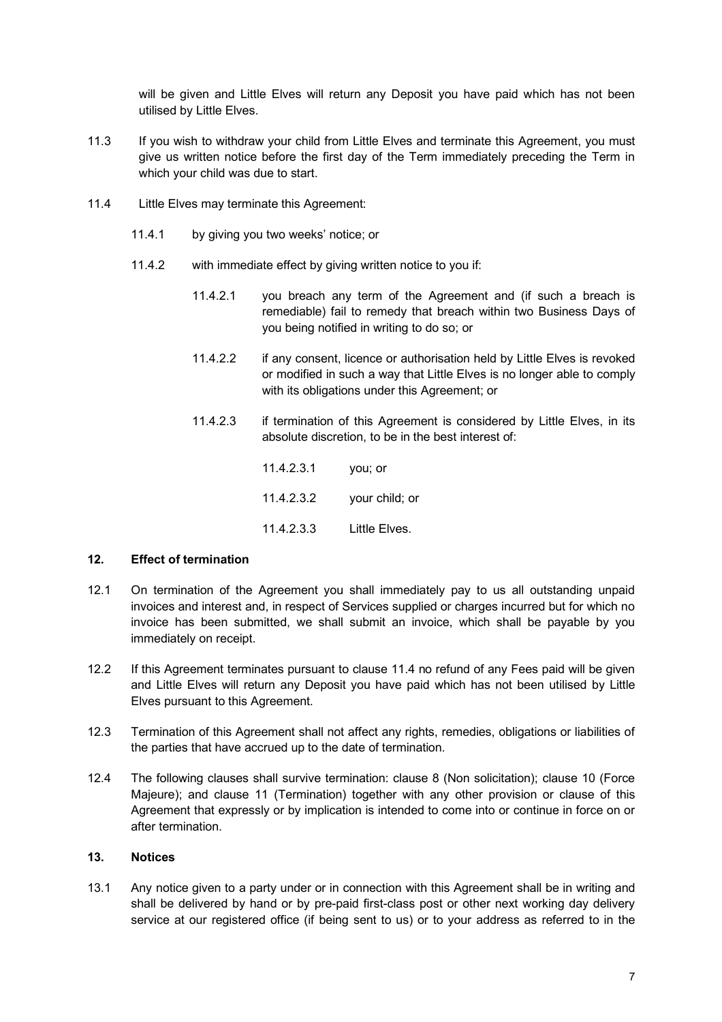will be given and Little Elves will return any Deposit you have paid which has not been utilised by Little Elves.

- 11.3 If you wish to withdraw your child from Little Elves and terminate this Agreement, you must give us written notice before the first day of the Term immediately preceding the Term in which your child was due to start.
- 11.4 Little Elves may terminate this Agreement:
	- 11.4.1 by giving you two weeks' notice; or
	- 11.4.2 with immediate effect by giving written notice to you if:
		- 11.4.2.1 you breach any term of the Agreement and (if such a breach is remediable) fail to remedy that breach within two Business Days of you being notified in writing to do so; or
		- 11.4.2.2 if any consent, licence or authorisation held by Little Elves is revoked or modified in such a way that Little Elves is no longer able to comply with its obligations under this Agreement; or
		- 11.4.2.3 if termination of this Agreement is considered by Little Elves, in its absolute discretion, to be in the best interest of:

11.4.2.3.1 you; or 11.4.2.3.2 your child; or 11.4.2.3.3 Little Elves.

#### **12. Effect of termination**

- 12.1 On termination of the Agreement you shall immediately pay to us all outstanding unpaid invoices and interest and, in respect of Services supplied or charges incurred but for which no invoice has been submitted, we shall submit an invoice, which shall be payable by you immediately on receipt.
- 12.2 If this Agreement terminates pursuant to clause 11.4 no refund of any Fees paid will be given and Little Elves will return any Deposit you have paid which has not been utilised by Little Elves pursuant to this Agreement.
- 12.3 Termination of this Agreement shall not affect any rights, remedies, obligations or liabilities of the parties that have accrued up to the date of termination.
- 12.4 The following clauses shall survive termination: clause 8 (Non solicitation); clause 10 (Force Majeure); and clause 11 (Termination) together with any other provision or clause of this Agreement that expressly or by implication is intended to come into or continue in force on or after termination.

### **13. Notices**

13.1 Any notice given to a party under or in connection with this Agreement shall be in writing and shall be delivered by hand or by pre-paid first-class post or other next working day delivery service at our registered office (if being sent to us) or to your address as referred to in the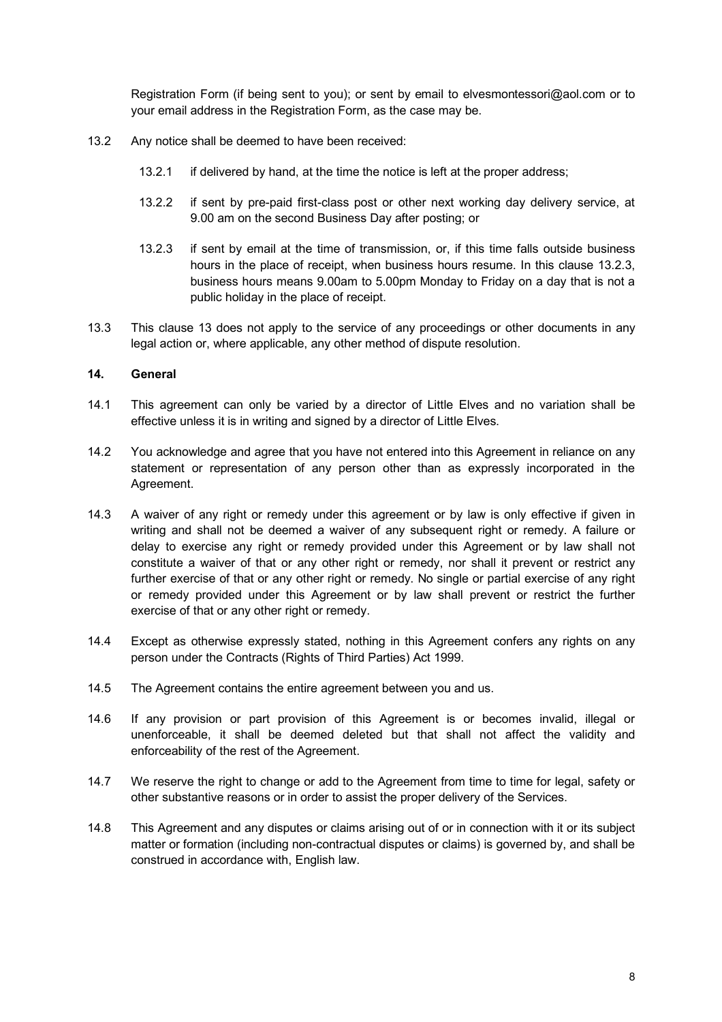Registration Form (if being sent to you); or sent by email to elvesmontessori@aol.com or to your email address in the Registration Form, as the case may be.

- 13.2 Any notice shall be deemed to have been received:
	- 13.2.1 if delivered by hand, at the time the notice is left at the proper address;
	- 13.2.2 if sent by pre-paid first-class post or other next working day delivery service, at 9.00 am on the second Business Day after posting; or
	- 13.2.3 if sent by email at the time of transmission, or, if this time falls outside business hours in the place of receipt, when business hours resume. In this clause 13.2.3, business hours means 9.00am to 5.00pm Monday to Friday on a day that is not a public holiday in the place of receipt.
- 13.3 This clause 13 does not apply to the service of any proceedings or other documents in any legal action or, where applicable, any other method of dispute resolution.

#### **14. General**

- 14.1 This agreement can only be varied by a director of Little Elves and no variation shall be effective unless it is in writing and signed by a director of Little Elves.
- 14.2 You acknowledge and agree that you have not entered into this Agreement in reliance on any statement or representation of any person other than as expressly incorporated in the Agreement.
- 14.3 A waiver of any right or remedy under this agreement or by law is only effective if given in writing and shall not be deemed a waiver of any subsequent right or remedy. A failure or delay to exercise any right or remedy provided under this Agreement or by law shall not constitute a waiver of that or any other right or remedy, nor shall it prevent or restrict any further exercise of that or any other right or remedy. No single or partial exercise of any right or remedy provided under this Agreement or by law shall prevent or restrict the further exercise of that or any other right or remedy.
- 14.4 Except as otherwise expressly stated, nothing in this Agreement confers any rights on any person under the Contracts (Rights of Third Parties) Act 1999.
- 14.5 The Agreement contains the entire agreement between you and us.
- 14.6 If any provision or part provision of this Agreement is or becomes invalid, illegal or unenforceable, it shall be deemed deleted but that shall not affect the validity and enforceability of the rest of the Agreement.
- 14.7 We reserve the right to change or add to the Agreement from time to time for legal, safety or other substantive reasons or in order to assist the proper delivery of the Services.
- 14.8 This Agreement and any disputes or claims arising out of or in connection with it or its subject matter or formation (including non-contractual disputes or claims) is governed by, and shall be construed in accordance with, English law.